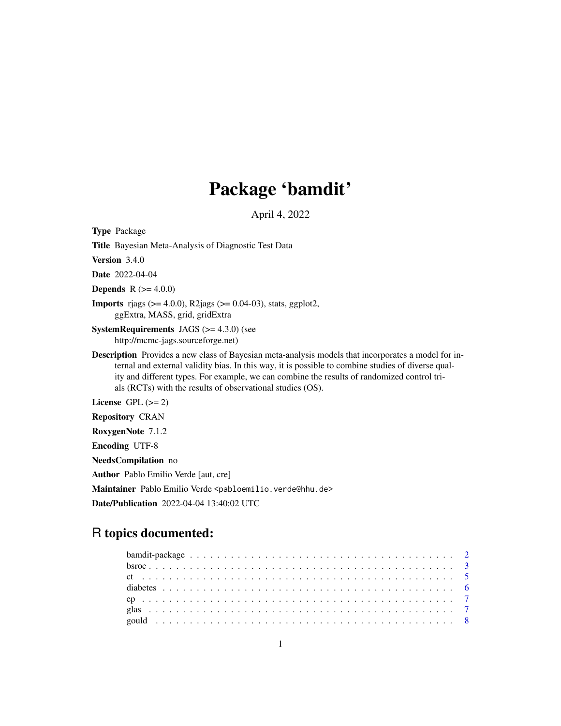# Package 'bamdit'

April 4, 2022

Type Package

Title Bayesian Meta-Analysis of Diagnostic Test Data

Version 3.4.0

Date 2022-04-04

**Depends** R  $(>= 4.0.0)$ 

**Imports** rjags ( $>= 4.0.0$ ), R2jags ( $>= 0.04-03$ ), stats, ggplot2, ggExtra, MASS, grid, gridExtra

**SystemRequirements** JAGS  $(>= 4.3.0)$  (see http://mcmc-jags.sourceforge.net)

Description Provides a new class of Bayesian meta-analysis models that incorporates a model for internal and external validity bias. In this way, it is possible to combine studies of diverse quality and different types. For example, we can combine the results of randomized control trials (RCTs) with the results of observational studies (OS).

License GPL  $(>= 2)$ 

Repository CRAN

RoxygenNote 7.1.2

Encoding UTF-8

NeedsCompilation no

Author Pablo Emilio Verde [aut, cre]

Maintainer Pablo Emilio Verde <pabloemilio.verde@hhu.de>

Date/Publication 2022-04-04 13:40:02 UTC

# R topics documented: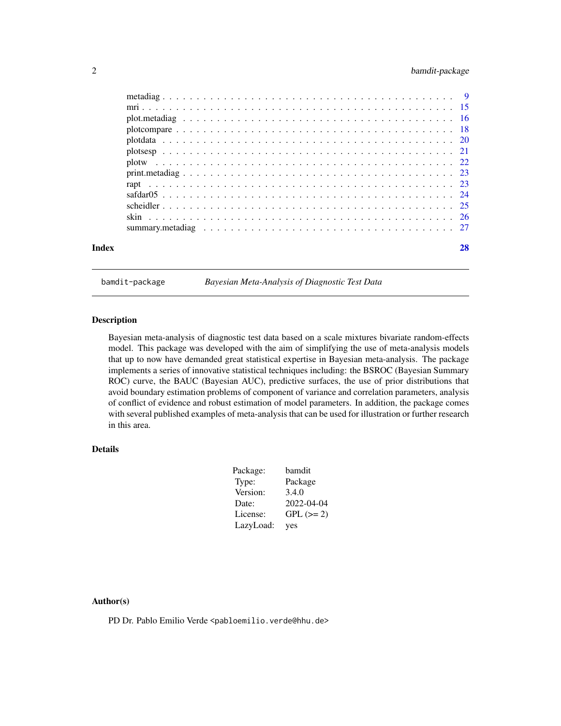# <span id="page-1-0"></span>2 bamdit-package

| Index |  |    |
|-------|--|----|
|       |  |    |
|       |  |    |
|       |  |    |
|       |  |    |
|       |  |    |
|       |  |    |
|       |  |    |
|       |  |    |
|       |  |    |
|       |  |    |
|       |  |    |
|       |  |    |
|       |  | 28 |

bamdit-package *Bayesian Meta-Analysis of Diagnostic Test Data*

# Description

Bayesian meta-analysis of diagnostic test data based on a scale mixtures bivariate random-effects model. This package was developed with the aim of simplifying the use of meta-analysis models that up to now have demanded great statistical expertise in Bayesian meta-analysis. The package implements a series of innovative statistical techniques including: the BSROC (Bayesian Summary ROC) curve, the BAUC (Bayesian AUC), predictive surfaces, the use of prior distributions that avoid boundary estimation problems of component of variance and correlation parameters, analysis of conflict of evidence and robust estimation of model parameters. In addition, the package comes with several published examples of meta-analysis that can be used for illustration or further research in this area.

# Details

| Package:  | bamdit     |
|-----------|------------|
| Type:     | Package    |
| Version:  | 3.4.0      |
| Date:     | 2022-04-04 |
| License:  | $GPL (=2)$ |
| LazyLoad: | yes        |

### Author(s)

PD Dr. Pablo Emilio Verde <pabloemilio.verde@hhu.de>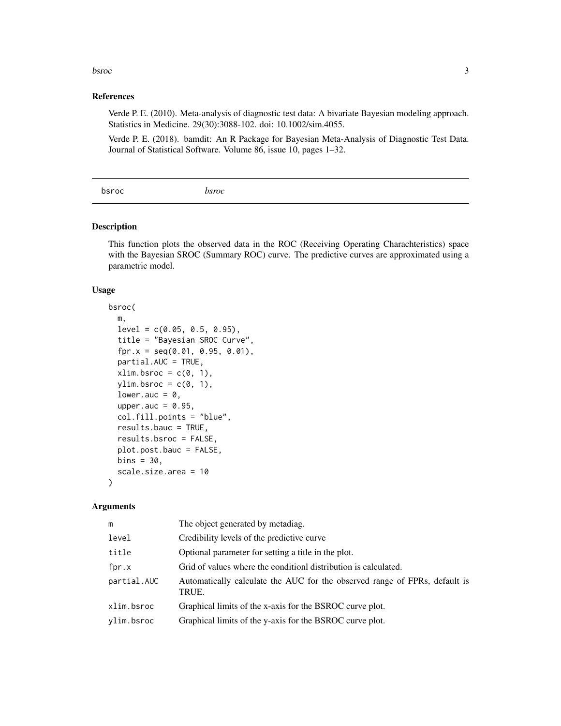#### <span id="page-2-0"></span>bsroc 3

# References

Verde P. E. (2010). Meta-analysis of diagnostic test data: A bivariate Bayesian modeling approach. Statistics in Medicine. 29(30):3088-102. doi: 10.1002/sim.4055.

Verde P. E. (2018). bamdit: An R Package for Bayesian Meta-Analysis of Diagnostic Test Data. Journal of Statistical Software. Volume 86, issue 10, pages 1–32.

bsroc *bsroc*

# Description

This function plots the observed data in the ROC (Receiving Operating Charachteristics) space with the Bayesian SROC (Summary ROC) curve. The predictive curves are approximated using a parametric model.

#### Usage

```
bsroc(
 m,
 level = c(0.05, 0.5, 0.95),
  title = "Bayesian SROC Curve",
  fpr.x = seq(0.01, 0.95, 0.01),
 partial.AUC = TRUE,
  xlim.bsrc = c(0, 1),ylim.bsrc = c(0, 1),lower.auc = 0,
  upper.auc = 0.95,
  col.fill.points = "blue",
  results.bauc = TRUE,
  results.bsroc = FALSE,
 plot.post.bauc = FALSE,
 bins = 30,
  scale.size.area = 10
)
```
#### Arguments

| m           | The object generated by metadiag.                                                   |
|-------------|-------------------------------------------------------------------------------------|
| level       | Credibility levels of the predictive curve                                          |
| title       | Optional parameter for setting a title in the plot.                                 |
| fpr.x       | Grid of values where the condition distribution is calculated.                      |
| partial.AUC | Automatically calculate the AUC for the observed range of FPRs, default is<br>TRUE. |
| xlim.bsroc  | Graphical limits of the x-axis for the BSROC curve plot.                            |
| ylim.bsroc  | Graphical limits of the y-axis for the BSROC curve plot.                            |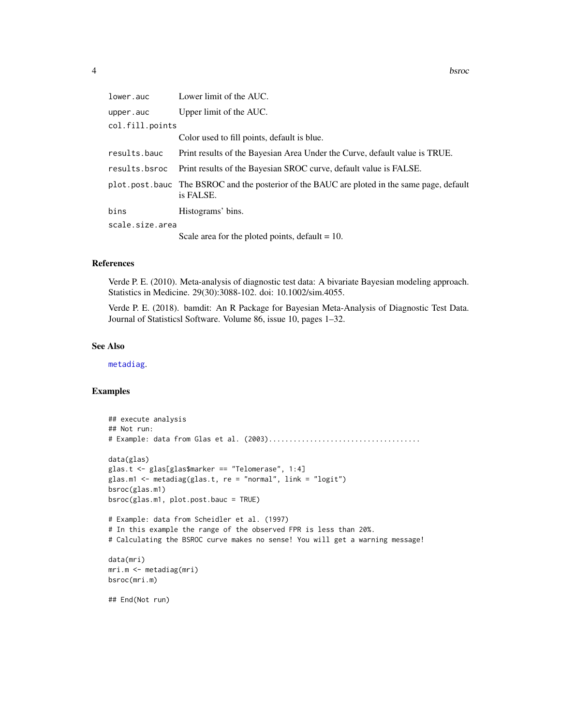<span id="page-3-0"></span>

| lower.auc       | Lower limit of the AUC.                                                                                  |
|-----------------|----------------------------------------------------------------------------------------------------------|
| upper.auc       | Upper limit of the AUC.                                                                                  |
| col.fill.points |                                                                                                          |
|                 | Color used to fill points, default is blue.                                                              |
| results.bauc    | Print results of the Bayesian Area Under the Curve, default value is TRUE.                               |
| results.bsroc   | Print results of the Bayesian SROC curve, default value is FALSE.                                        |
|                 | plot.post.bauc The BSROC and the posterior of the BAUC are ploted in the same page, default<br>is FALSE. |
| bins            | Histograms' bins.                                                                                        |
| scale.size.area |                                                                                                          |
|                 | Scale area for the ploted points, default $= 10$ .                                                       |

#### References

Verde P. E. (2010). Meta-analysis of diagnostic test data: A bivariate Bayesian modeling approach. Statistics in Medicine. 29(30):3088-102. doi: 10.1002/sim.4055.

Verde P. E. (2018). bamdit: An R Package for Bayesian Meta-Analysis of Diagnostic Test Data. Journal of Statisticsl Software. Volume 86, issue 10, pages 1–32.

#### See Also

[metadiag](#page-8-1).

#### Examples

```
## execute analysis
## Not run:
# Example: data from Glas et al. (2003).....................................
data(glas)
glas.t <- glas[glas$marker == "Telomerase", 1:4]
glas.m1 <- metadiag(glas.t, re = "normal", link = "logit")
bsroc(glas.m1)
bsroc(glas.m1, plot.post.bauc = TRUE)
# Example: data from Scheidler et al. (1997)
# In this example the range of the observed FPR is less than 20%.
# Calculating the BSROC curve makes no sense! You will get a warning message!
data(mri)
mri.m <- metadiag(mri)
bsroc(mri.m)
## End(Not run)
```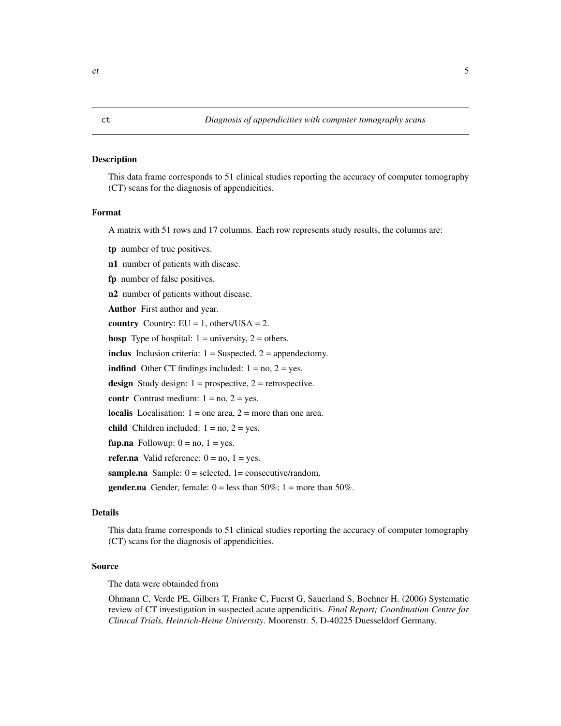#### <span id="page-4-0"></span>Description

This data frame corresponds to 51 clinical studies reporting the accuracy of computer tomography (CT) scans for the diagnosis of appendicities.

#### Format

A matrix with 51 rows and 17 columns. Each row represents study results, the columns are:

tp number of true positives.

n1 number of patients with disease.

fp number of false positives.

n2 number of patients without disease.

Author First author and year.

country Country:  $EU = 1$ , others/ $USA = 2$ .

hosp Type of hospital:  $1 =$  university,  $2 =$  others.

inclus Inclusion criteria:  $1 =$  Suspected,  $2 =$  appendectomy.

**indfind** Other CT findings included:  $1 = no$ ,  $2 = yes$ .

design Study design:  $1 =$  prospective,  $2 =$  retrospective.

contr Contrast medium:  $1 = no$ ,  $2 = yes$ .

localis Localisation:  $1 =$  one area,  $2 =$  more than one area.

child Children included:  $1 = no$ ,  $2 = yes$ .

fup.na Followup:  $0 = no$ ,  $1 = yes$ .

refer.na Valid reference:  $0 = no$ ,  $1 = yes$ .

sample.na Sample:  $0 =$  selected,  $1 =$  consecutive/random.

**gender.na** Gender, female:  $0 =$  less than 50%; 1 = more than 50%.

#### Details

This data frame corresponds to 51 clinical studies reporting the accuracy of computer tomography (CT) scans for the diagnosis of appendicities.

#### Source

The data were obtainded from

Ohmann C, Verde PE, Gilbers T, Franke C, Fuerst G, Sauerland S, Boehner H. (2006) Systematic review of CT investigation in suspected acute appendicitis. *Final Report; Coordination Centre for Clinical Trials, Heinrich-Heine University*. Moorenstr. 5, D-40225 Duesseldorf Germany.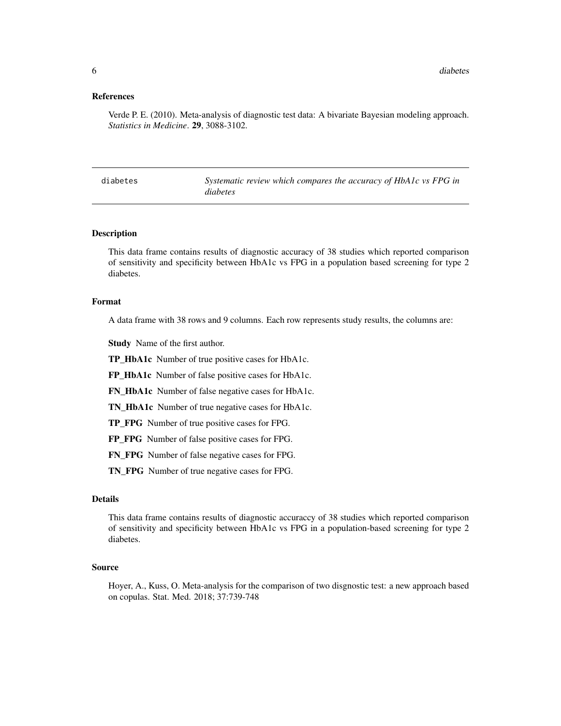#### <span id="page-5-0"></span>References

Verde P. E. (2010). Meta-analysis of diagnostic test data: A bivariate Bayesian modeling approach. *Statistics in Medicine*. 29, 3088-3102.

| diabetes | Systematic review which compares the accuracy of HbA1c vs FPG in |
|----------|------------------------------------------------------------------|
|          | <i>diabetes</i>                                                  |

#### Description

This data frame contains results of diagnostic accuracy of 38 studies which reported comparison of sensitivity and specificity between HbA1c vs FPG in a population based screening for type 2 diabetes.

### Format

A data frame with 38 rows and 9 columns. Each row represents study results, the columns are:

Study Name of the first author.

TP\_HbA1c Number of true positive cases for HbA1c.

FP\_HbA1c Number of false positive cases for HbA1c.

FN\_HbA1c Number of false negative cases for HbA1c.

TN\_HbA1c Number of true negative cases for HbA1c.

TP\_FPG Number of true positive cases for FPG.

FP\_FPG Number of false positive cases for FPG.

FN\_FPG Number of false negative cases for FPG.

TN\_FPG Number of true negative cases for FPG.

#### Details

This data frame contains results of diagnostic accuraccy of 38 studies which reported comparison of sensitivity and specificity between HbA1c vs FPG in a population-based screening for type 2 diabetes.

#### Source

Hoyer, A., Kuss, O. Meta-analysis for the comparison of two disgnostic test: a new approach based on copulas. Stat. Med. 2018; 37:739-748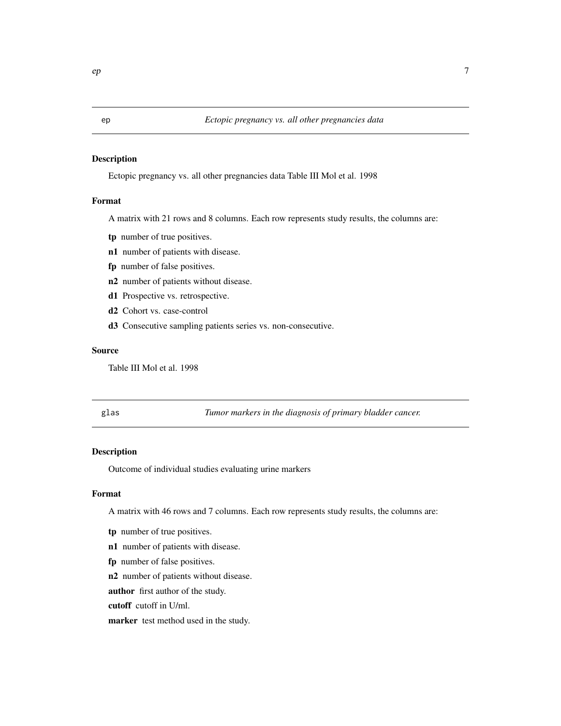#### <span id="page-6-0"></span>Description

Ectopic pregnancy vs. all other pregnancies data Table III Mol et al. 1998

# Format

A matrix with 21 rows and 8 columns. Each row represents study results, the columns are:

- tp number of true positives.
- n1 number of patients with disease.
- fp number of false positives.
- n2 number of patients without disease.
- d1 Prospective vs. retrospective.
- d2 Cohort vs. case-control
- d3 Consecutive sampling patients series vs. non-consecutive.

#### Source

Table III Mol et al. 1998

glas *Tumor markers in the diagnosis of primary bladder cancer.*

# Description

Outcome of individual studies evaluating urine markers

# Format

A matrix with 46 rows and 7 columns. Each row represents study results, the columns are:

- tp number of true positives.
- n1 number of patients with disease.
- fp number of false positives.

n2 number of patients without disease.

author first author of the study.

cutoff cutoff in U/ml.

marker test method used in the study.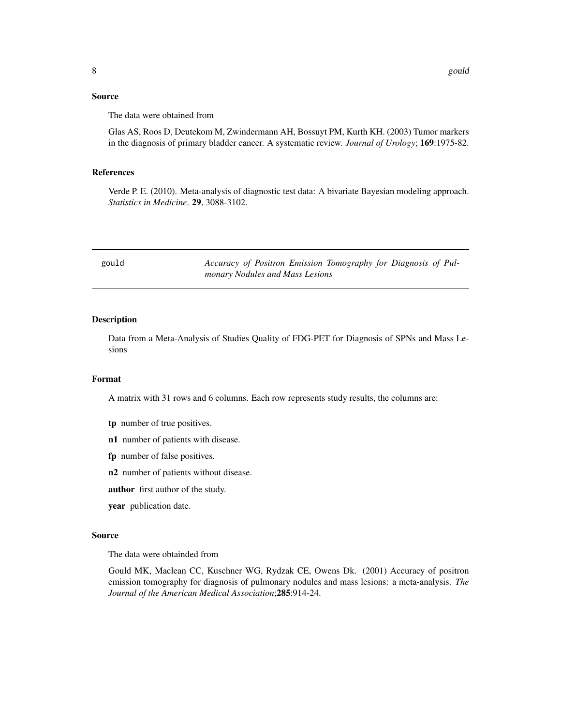<span id="page-7-0"></span>Glas AS, Roos D, Deutekom M, Zwindermann AH, Bossuyt PM, Kurth KH. (2003) Tumor markers in the diagnosis of primary bladder cancer. A systematic review. *Journal of Urology*; 169:1975-82.

#### References

Verde P. E. (2010). Meta-analysis of diagnostic test data: A bivariate Bayesian modeling approach. *Statistics in Medicine*. 29, 3088-3102.

| gould | Accuracy of Positron Emission Tomography for Diagnosis of Pul- |
|-------|----------------------------------------------------------------|
|       | monary Nodules and Mass Lesions                                |

#### Description

Data from a Meta-Analysis of Studies Quality of FDG-PET for Diagnosis of SPNs and Mass Lesions

#### Format

A matrix with 31 rows and 6 columns. Each row represents study results, the columns are:

- tp number of true positives.
- n1 number of patients with disease.
- fp number of false positives.
- n2 number of patients without disease.
- author first author of the study.
- year publication date.

### Source

The data were obtainded from

Gould MK, Maclean CC, Kuschner WG, Rydzak CE, Owens Dk. (2001) Accuracy of positron emission tomography for diagnosis of pulmonary nodules and mass lesions: a meta-analysis. *The Journal of the American Medical Association*;285:914-24.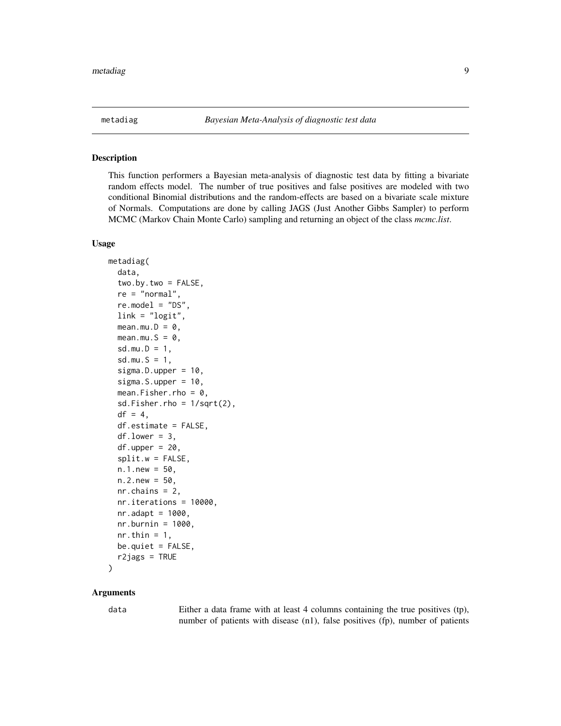<span id="page-8-1"></span><span id="page-8-0"></span>

#### Description

This function performers a Bayesian meta-analysis of diagnostic test data by fitting a bivariate random effects model. The number of true positives and false positives are modeled with two conditional Binomial distributions and the random-effects are based on a bivariate scale mixture of Normals. Computations are done by calling JAGS (Just Another Gibbs Sampler) to perform MCMC (Markov Chain Monte Carlo) sampling and returning an object of the class *mcmc.list*.

#### Usage

```
metadiag(
  data,
  two.by.two = FALSE,
  re = "normal",
  re.model = "DS".link = "logit",mean.mu.D = 0,
 mean.mu.S = \theta,
  sd.mu.D = 1,
  sd.mu.S = 1,
  sigma.D.upper = 10,
  sigma.S.upper = 10,
  mean.Fisher.rho = 0,
  sd.Fisher.rho = 1/sqrt(2),
  df = 4,
  df.estimate = FALSE,
  df.lower = 3,
  df.upper = 20,
  split.w = FALSE,n.1.new = 50,
 n.2.new = 50,
 nr.chains = 2,
  nr.iterations = 10000,
  nr.addapt = 1000,nr.burnin = 1000,nr.thin = 1,
 be.quiet = FALSE,
  r2jags = TRUE)
```
# Arguments

data Either a data frame with at least 4 columns containing the true positives (tp), number of patients with disease (n1), false positives (fp), number of patients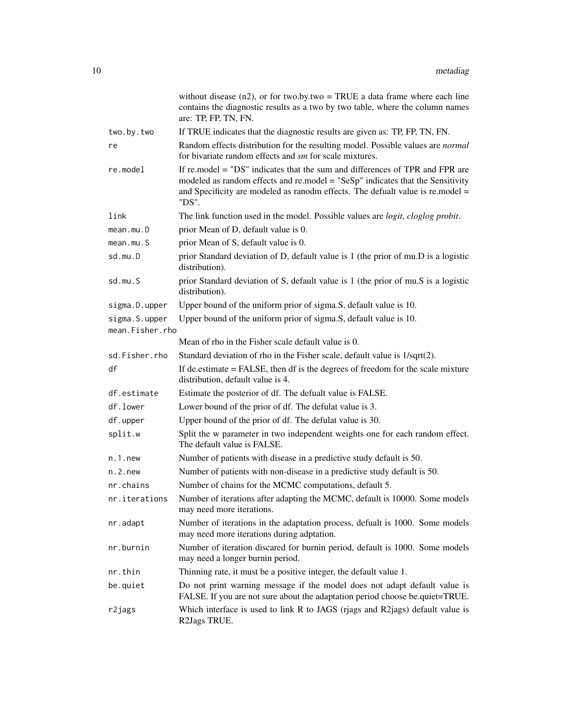|                                  | without disease $(n2)$ , or for two.by.two = TRUE a data frame where each line<br>contains the diagnostic results as a two by two table, where the column names<br>are: TP, FP, TN, FN.                                                                   |
|----------------------------------|-----------------------------------------------------------------------------------------------------------------------------------------------------------------------------------------------------------------------------------------------------------|
| two.by.two                       | If TRUE indicates that the diagnostic results are given as: TP, FP, TN, FN.                                                                                                                                                                               |
| re                               | Random effects distribution for the resulting model. Possible values are normal<br>for bivariate random effects and sm for scale mixtures.                                                                                                                |
| re.model                         | If re.model = "DS" indicates that the sum and differences of TPR and FPR are<br>modeled as random effects and re.model = "SeSp" indicates that the Sensitivity<br>and Specificity are modeled as ranodm effects. The defualt value is re.model =<br>"DS". |
| link                             | The link function used in the model. Possible values are <i>logit</i> , <i>cloglog probit</i> .                                                                                                                                                           |
| mean.mu.D                        | prior Mean of D, default value is 0.                                                                                                                                                                                                                      |
| mean.mu.S                        | prior Mean of S, default value is 0.                                                                                                                                                                                                                      |
| sd.mu.D                          | prior Standard deviation of D, default value is 1 (the prior of mu.D is a logistic<br>distribution).                                                                                                                                                      |
| sd.mu.S                          | prior Standard deviation of S, default value is 1 (the prior of mu.S is a logistic<br>distribution).                                                                                                                                                      |
| sigma.D.upper                    | Upper bound of the uniform prior of sigma.S, default value is 10.                                                                                                                                                                                         |
| sigma.S.upper<br>mean.Fisher.rho | Upper bound of the uniform prior of sigma.S, default value is 10.                                                                                                                                                                                         |
|                                  | Mean of rho in the Fisher scale default value is 0.                                                                                                                                                                                                       |
| sd.Fisher.rho                    | Standard deviation of rho in the Fisher scale, default value is 1/sqrt(2).                                                                                                                                                                                |
| df                               | If de.estimate = FALSE, then df is the degrees of freedom for the scale mixture<br>distribution, default value is 4.                                                                                                                                      |
| df.estimate                      | Estimate the posterior of df. The defualt value is FALSE.                                                                                                                                                                                                 |
| df.lower                         | Lower bound of the prior of df. The defulat value is 3.                                                                                                                                                                                                   |
| df.upper                         | Upper bound of the prior of df. The defulat value is 30.                                                                                                                                                                                                  |
| split.w                          | Split the w parameter in two independent weights one for each random effect.<br>The default value is FALSE.                                                                                                                                               |
| $n.1.$ new                       | Number of patients with disease in a predictive study default is 50.                                                                                                                                                                                      |
| $n.2.$ new                       | Number of patients with non-disease in a predictive study default is 50.                                                                                                                                                                                  |
| nr.chains                        | Number of chains for the MCMC computations, default 5.                                                                                                                                                                                                    |
| nr.iterations                    | Number of iterations after adapting the MCMC, default is 10000. Some models<br>may need more iterations.                                                                                                                                                  |
| nr.adapt                         | Number of iterations in the adaptation process, defualt is 1000. Some models<br>may need more iterations during adptation.                                                                                                                                |
| nr.burnin                        | Number of iteration discared for burnin period, default is 1000. Some models<br>may need a longer burnin period.                                                                                                                                          |
| nr.thin                          | Thinning rate, it must be a positive integer, the default value 1.                                                                                                                                                                                        |
| be.quiet                         | Do not print warning message if the model does not adapt default value is<br>FALSE. If you are not sure about the adaptation period choose be quiet=TRUE.                                                                                                 |
| r2jags                           | Which interface is used to link R to JAGS (rjags and R2jags) default value is<br>R2Jags TRUE.                                                                                                                                                             |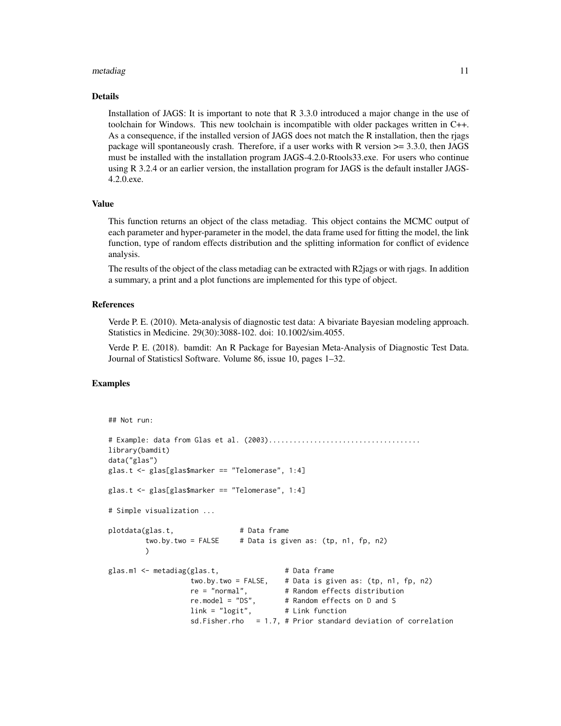#### metadiag and the state of the state of the state of the state of the state of the state of the state of the state of the state of the state of the state of the state of the state of the state of the state of the state of t

#### Details

Installation of JAGS: It is important to note that R 3.3.0 introduced a major change in the use of toolchain for Windows. This new toolchain is incompatible with older packages written in C++. As a consequence, if the installed version of JAGS does not match the R installation, then the rjags package will spontaneously crash. Therefore, if a user works with R version >= 3.3.0, then JAGS must be installed with the installation program JAGS-4.2.0-Rtools33.exe. For users who continue using R 3.2.4 or an earlier version, the installation program for JAGS is the default installer JAGS-4.2.0.exe.

#### Value

This function returns an object of the class metadiag. This object contains the MCMC output of each parameter and hyper-parameter in the model, the data frame used for fitting the model, the link function, type of random effects distribution and the splitting information for conflict of evidence analysis.

The results of the object of the class metadiag can be extracted with R2jags or with rjags. In addition a summary, a print and a plot functions are implemented for this type of object.

#### References

Verde P. E. (2010). Meta-analysis of diagnostic test data: A bivariate Bayesian modeling approach. Statistics in Medicine. 29(30):3088-102. doi: 10.1002/sim.4055.

Verde P. E. (2018). bamdit: An R Package for Bayesian Meta-Analysis of Diagnostic Test Data. Journal of Statisticsl Software. Volume 86, issue 10, pages 1–32.

#### Examples

```
## Not run:
# Example: data from Glas et al. (2003).....................................
library(bamdit)
data("glas")
glas.t <- glas[glas$marker == "Telomerase", 1:4]
glas.t <- glas[glas$marker == "Telomerase", 1:4]
# Simple visualization ...
plotdata(glas.t, # Data frame
        two.by.two = FALSE # Data is given as: (tp, n1, fp, n2)
        )
glas.m1 <- metadiag(glas.t, \qquad # Data frame
                  two.by.two = FALSE, # Data is given as: (tp, n1, fp, n2)
                  re = "normal", # Random effects distribution
                  re.model = "DS", # Random effects on D and S
                  link = "logit", # Link function
                  sd.Fisher.rho = 1.7, # Prior standard deviation of correlation
```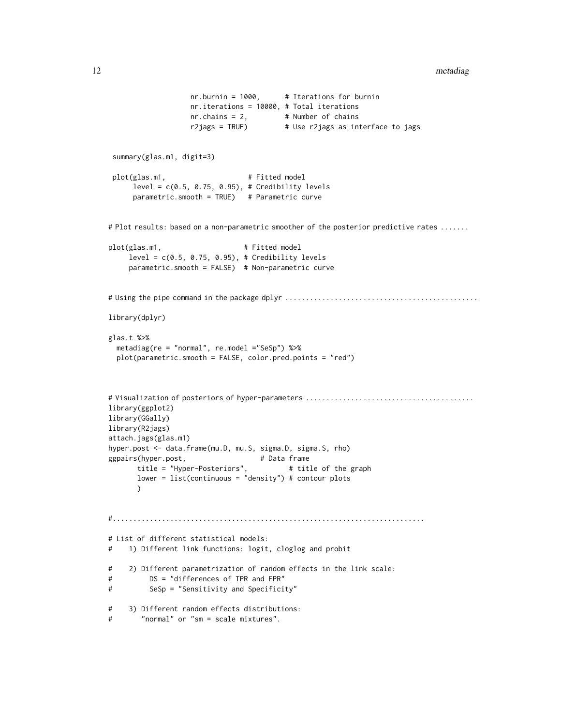```
nr.burnin = 1000, # Iterations for burnin
                   nr.iterations = 10000, # Total iterations
                   nr. chains = 2, # Number of chains
                   r2jags = TRUE) # Use r2jags as interface to jags
 summary(glas.m1, digit=3)
 plot(glas.m1, # Fitted model
     level = c(0.5, 0.75, 0.95), # Credibility levels
     parametric.smooth = TRUE) # Parametric curve
# Plot results: based on a non-parametric smoother of the posterior predictive rates .......
plot(glas.m1, # Fitted model
    level = c(0.5, 0.75, 0.95), # Credibility levels
    parametric.smooth = FALSE) # Non-parametric curve
# Using the pipe command in the package dplyr ...............................................
library(dplyr)
glas.t %>%
 metadiag(re = "normal", re.model ="SeSp") %>%
 plot(parametric.smooth = FALSE, color.pred.points = "red")
# Visualization of posteriors of hyper-parameters .........................................
library(ggplot2)
library(GGally)
library(R2jags)
attach.jags(glas.m1)
hyper.post <- data.frame(mu.D, mu.S, sigma.D, sigma.S, rho)
ggpairs(hyper.post, \qquad \qquad \qquad # Data frametitle = "Hyper-Posteriors", # title of the graph
      lower = list(continuous = "density") # contour plots
      \lambda#............................................................................
# List of different statistical models:
# 1) Different link functions: logit, cloglog and probit
# 2) Different parametrization of random effects in the link scale:
# DS = "differences of TPR and FPR"
# SeSp = "Sensitivity and Specificity"
# 3) Different random effects distributions:
# "normal" or "sm = scale mixtures".
```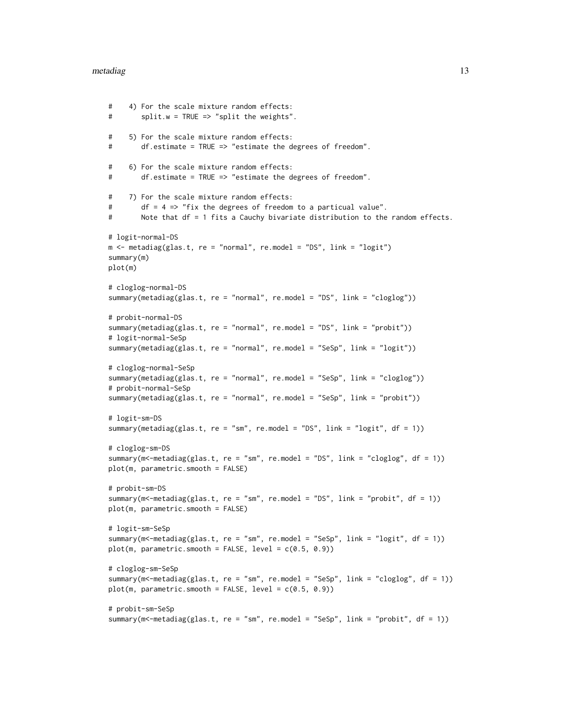#### metadiag and the state of the state of the state of the state of the state of the state of the state of the state of the state of the state of the state of the state of the state of the state of the state of the state of t

```
# 4) For the scale mixture random effects:
# split.w = TRUE => "split the weights".
# 5) For the scale mixture random effects:
# df.estimate = TRUE => "estimate the degrees of freedom".
# 6) For the scale mixture random effects:
# df.estimate = TRUE => "estimate the degrees of freedom".
# 7) For the scale mixture random effects:
# df = 4 => "fix the degrees of freedom to a particual value".
# Note that df = 1 fits a Cauchy bivariate distribution to the random effects.
# logit-normal-DS
m <- metadiag(glas.t, re = "normal", re.model = "DS", link = "logit")
summary(m)
plot(m)
# cloglog-normal-DS
summary(metadiag(glas.t, re = "normal", re.model = "DS", link = "cloglog"))
# probit-normal-DS
summary(metadiag(glas.t, re = "normal", re.model = "DS", link = "probit"))
# logit-normal-SeSp
summary(metadiag(glas.t, re = "normal", re.model = "SeSp", link = "logit"))
# cloglog-normal-SeSp
summary(metadiag(glas.t, re = "normal", re.model = "SeSp", link = "cloglog"))
# probit-normal-SeSp
summary(metadiag(glas.t, re = "normal", re.model = "SeSp", link = "probit"))
# logit-sm-DS
summary(metadiag(glas.t, re = "sm", re.model = "DS", link = "logit", df = 1))
# cloglog-sm-DS
summary(m<-metadiag(glas.t, re = "sm", re.model = "DS", link = "cloglog", df = 1))
plot(m, parametric.smooth = FALSE)
# probit-sm-DS
summary(m<-metadiag(glas.t, re = "sm", re.model = "DS", link = "probit", df = 1))
plot(m, parametric.smooth = FALSE)
# logit-sm-SeSp
summary(m<-metadiag(glas.t, re = "sm", re.model = "SeSp", link = "logit", df = 1))
plot(m, parametric-smooth = FALSE, level = c(0.5, 0.9))# cloglog-sm-SeSp
summary(m<-metadiag(glas.t, re = "sm", re.model = "SeSp", link = "cloglog", df = 1))
plot(m, parametric-smooth = FALSE, level = c(0.5, 0.9))# probit-sm-SeSp
summary(m<-metadiag(glas.t, re = "sm", re.model = "SeSp", link = "probit", df = 1))
```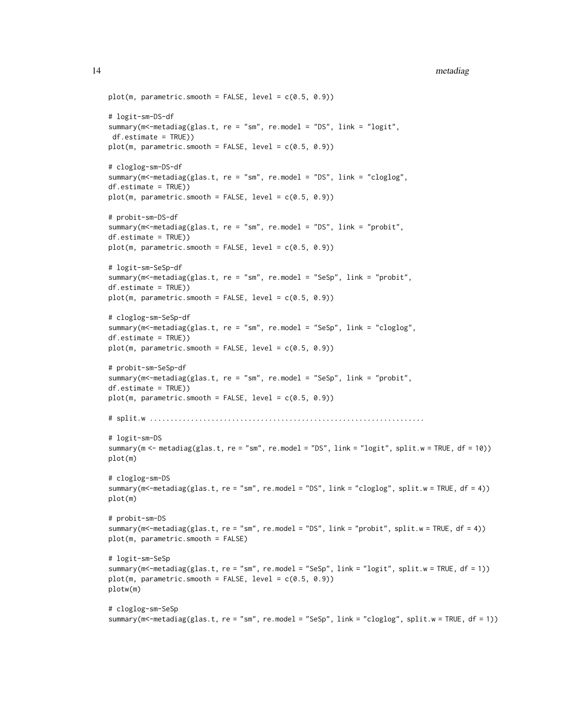```
14 metadiag
```

```
plot(m, parametric-smooth = FALSE, level = c(0.5, 0.9))# logit-sm-DS-df
summary(m<-metadiag(glas.t, re = "sm", re.model = "DS", link = "logit",
df.estimate = TRUE))
plot(m, parametric-smooth = FALSE, level = c(0.5, 0.9))# cloglog-sm-DS-df
summary(m<-metadiag(glas.t, re = "sm", re.model = "DS", link = "cloglog",
df.estimate = TRUE))
plot(m, parametric.smooth = FALSE, level = c(0.5, 0.9))
# probit-sm-DS-df
summary(m<-metadiag(glas.t, re = "sm", re.model = "DS", link = "probit",
df.estimate = TRUE))
plot(m, parametric-smooth = FALSE, level = c(0.5, 0.9))# logit-sm-SeSp-df
summary(m<-metadiag(glas.t, re = "sm", re.model = "SeSp", link = "probit",
df.estimate = TRUE))
plot(m, parametric-smooth = FALSE, level = c(0.5, 0.9))# cloglog-sm-SeSp-df
summary(m<-metadiag(glas.t, re = "sm", re.model = "SeSp", link = "cloglog",
df.estimate = TRUE))
plot(m, parametric-smooth = FALSE, level = c(0.5, 0.9))# probit-sm-SeSp-df
summary(m<-metadiag(glas.t, re = "sm", re.model = "SeSp", link = "probit",
df.estimate = TRUE))
plot(m, parametric-smooth = FALSE, level = c(0.5, 0.9))# split.w ...................................................................
# logit-sm-DS
summary(m <- metadiag(glas.t, re = "sm", re.model = "DS", link = "logit", split.w = TRUE, df = 10))
plot(m)
# cloglog-sm-DS
summary(m<-metadiag(glas.t, re = "sm", re.model = "DS", link = "cloglog", split.w = TRUE, df = 4))
plot(m)
# probit-sm-DS
summary(m<-metadiag(glas.t, re = "sm", re.model = "DS", link = "probit", split.w = TRUE, df = 4))
plot(m, parametric.smooth = FALSE)
# logit-sm-SeSp
summary(m<-metadiag(glas.t, re = "sm", re.model = "SeSp", link = "logit", split.w = TRUE, df = 1))
plot(m, parametric-smooth = FALSE, level = c(0.5, 0.9))plotw(m)
# cloglog-sm-SeSp
```

```
summary(m<-metadiag(glas.t, re = "sm", re.model = "SeSp", link = "cloglog", split.w = TRUE, df = 1))
```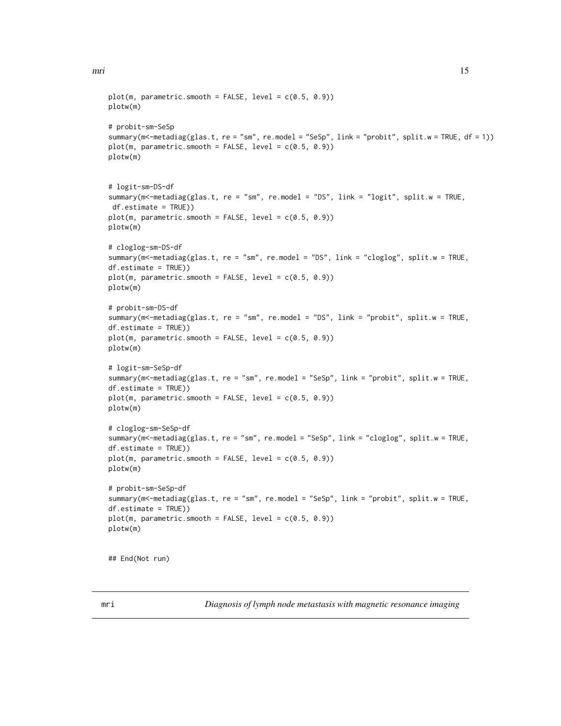```
plot(m, parametric-smooth = FALSE, level = c(0.5, 0.9))plotw(m)
# probit-sm-SeSp
summary(m<-metadiag(glas.t, re = "sm", re.model = "SeSp", link = "probit", split.w = TRUE, df = 1))
plot(m, parametric-smooth = FALSE, level = c(0.5, 0.9))plotw(m)
# logit-sm-DS-df
summary(m<-metadiag(glas.t, re = "sm", re.model = "DS", link = "logit", split.w = TRUE,
df.estimate = TRUE))
plot(m, parametric-smooth = FALSE, level = c(0.5, 0.9))plotw(m)
# cloglog-sm-DS-df
summary(m<-metadiag(glas.t, re = "sm", re.model = "DS", link = "cloglog", split.w = TRUE,
df.estimate = TRUE))
plot(m, parametric-smooth = FALSE, level = c(0.5, 0.9))plotw(m)
# probit-sm-DS-df
summary(m<-metadiag(glas.t, re = "sm", re.model = "DS", link = "probit", split.w = TRUE,
df.estimate = TRUE))
plot(m, parametric-smooth = FALSE, level = c(0.5, 0.9))plotw(m)
# logit-sm-SeSp-df
summary(m<-metadiag(glas.t, re = "sm", re.model = "SeSp", link = "probit", split.w = TRUE,
df.estimate = TRUE))
plot(m, parametric-smooth = FALSE, level = c(0.5, 0.9))plotw(m)
# cloglog-sm-SeSp-df
summary(m<-metadiag(glas.t, re = "sm", re.model = "SeSp", link = "cloglog", split.w = TRUE,
df.estimate = TRUE))
plot(m, parametric.smooth = FALSE, level = c(0.5, 0.9))
plotw(m)
# probit-sm-SeSp-df
summary(m<-metadiag(glas.t, re = "sm", re.model = "SeSp", link = "probit", split.w = TRUE,
df.estimate = TRUE))
plot(m, parametric.smooth = FALSE, level = c(0.5, 0.9))
plotw(m)
## End(Not run)
```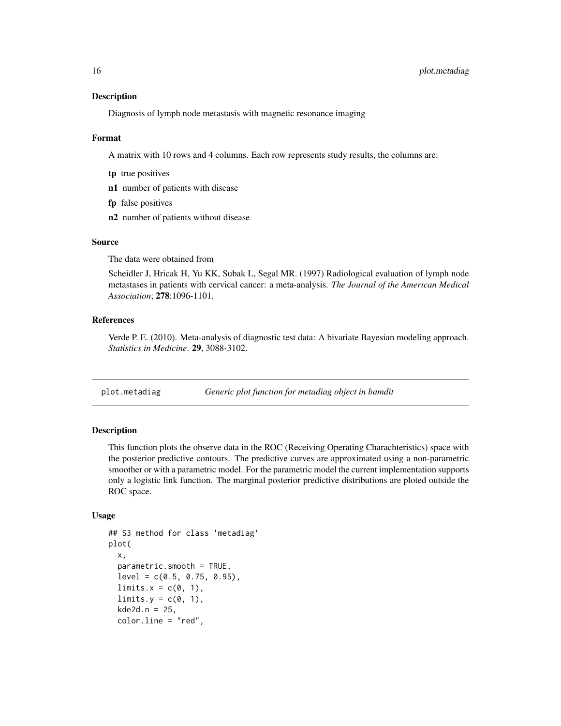#### <span id="page-15-0"></span>Description

Diagnosis of lymph node metastasis with magnetic resonance imaging

#### Format

A matrix with 10 rows and 4 columns. Each row represents study results, the columns are:

- tp true positives
- n1 number of patients with disease
- fp false positives
- n2 number of patients without disease

#### Source

The data were obtained from

Scheidler J, Hricak H, Yu KK, Subak L, Segal MR. (1997) Radiological evaluation of lymph node metastases in patients with cervical cancer: a meta-analysis. *The Journal of the American Medical Association*; 278:1096-1101.

# References

Verde P. E. (2010). Meta-analysis of diagnostic test data: A bivariate Bayesian modeling approach. *Statistics in Medicine*. 29, 3088-3102.

plot.metadiag *Generic plot function for metadiag object in bamdit*

# Description

This function plots the observe data in the ROC (Receiving Operating Charachteristics) space with the posterior predictive contours. The predictive curves are approximated using a non-parametric smoother or with a parametric model. For the parametric model the current implementation supports only a logistic link function. The marginal posterior predictive distributions are ploted outside the ROC space.

#### Usage

```
## S3 method for class 'metadiag'
plot(
 x,
  parametric.smooth = TRUE,
  level = c(0.5, 0.75, 0.95),
  limits.x = c(0, 1),limits.y = c(0, 1),kde2d.n = 25,
  color.line = "red",
```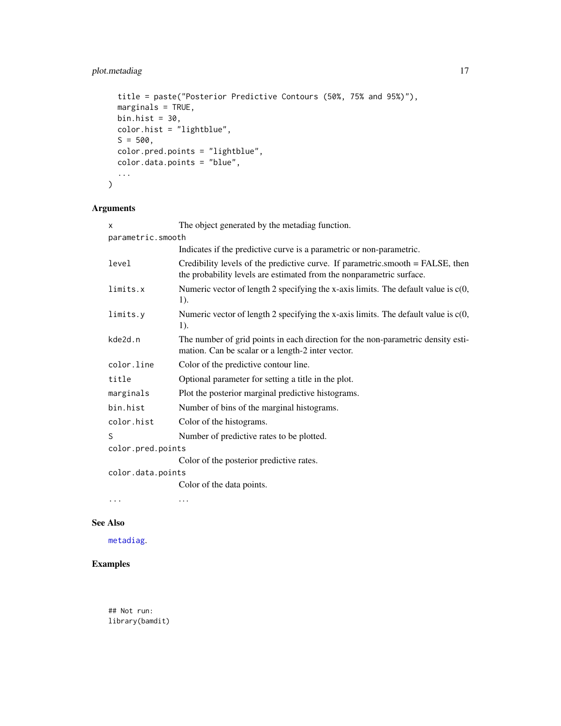# <span id="page-16-0"></span>plot.metadiag 17

```
title = paste("Posterior Predictive Contours (50%, 75% and 95%)"),
 marginals = TRUE,
 bin.hist = 30,
 color.hist = "lightblue",
 S = 500,color.pred.points = "lightblue",
 color.data.points = "blue",
  ...
\mathcal{L}
```
# Arguments

| X                 | The object generated by the metadiag function.                                                                                                         |
|-------------------|--------------------------------------------------------------------------------------------------------------------------------------------------------|
| parametric.smooth |                                                                                                                                                        |
|                   | Indicates if the predictive curve is a parametric or non-parametric.                                                                                   |
| level             | Credibility levels of the predictive curve. If parametric smooth = FALSE, then<br>the probability levels are estimated from the nonparametric surface. |
| limits.x          | Numeric vector of length 2 specifying the x-axis limits. The default value is $c(0, 0)$<br>1).                                                         |
| limits.y          | Numeric vector of length 2 specifying the x-axis limits. The default value is $c(0, 0)$<br>1).                                                         |
| kde2d.n           | The number of grid points in each direction for the non-parametric density esti-<br>mation. Can be scalar or a length-2 inter vector.                  |
| color.line        | Color of the predictive contour line.                                                                                                                  |
| title             | Optional parameter for setting a title in the plot.                                                                                                    |
| marginals         | Plot the posterior marginal predictive histograms.                                                                                                     |
| bin.hist          | Number of bins of the marginal histograms.                                                                                                             |
| color.hist        | Color of the histograms.                                                                                                                               |
| S                 | Number of predictive rates to be plotted.                                                                                                              |
| color.pred.points |                                                                                                                                                        |
|                   | Color of the posterior predictive rates.                                                                                                               |
| color.data.points |                                                                                                                                                        |
|                   | Color of the data points.                                                                                                                              |
| $\cdots$          | $\cdots$                                                                                                                                               |

# See Also

[metadiag](#page-8-1).

# Examples

## Not run: library(bamdit)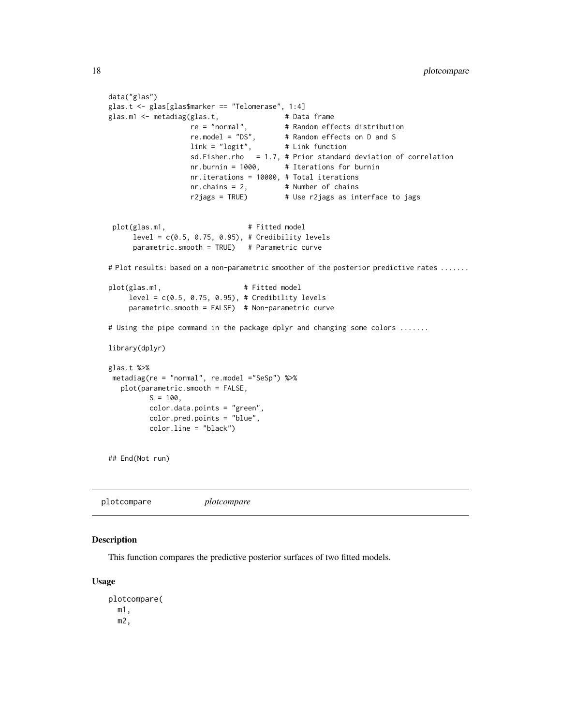```
data("glas")
glas.t <- glas[glas$marker == "Telomerase", 1:4]
glas.m1 <- metadiag(glas.t, \qquad # Data frame
                  re = "normal", # Random effects distribution
                  re.model = "DS", # Random effects on D and S
                  link = "logit", # Link function
                  sd.Fisher.rho = 1.7, # Prior standard deviation of correlation
                  nr.burnin = 1000, # Iterations for burnin
                  nr.iterations = 10000, # Total iterations
                  nr.chains = 2, # Number of chains
                  r2jags = TRUE) # Use r2jags as interface to jags
 plot(glas.m1, # Fitted model
     level = c(0.5, 0.75, 0.95), # Credibility levels
     parametric.smooth = TRUE) # Parametric curve
# Plot results: based on a non-parametric smoother of the posterior predictive rates .......
plot(glas.m1, # Fitted model
    level = c(0.5, 0.75, 0.95), # Credibility levels
    parameteric.s mooth = FALSE) # Non-parametric curve
# Using the pipe command in the package dplyr and changing some colors .......
library(dplyr)
glas.t %>%
metadiag(re = "normal", re.model ="SeSp") %>%
  plot(parametric.smooth = FALSE,
         S = 100,color.data.points = "green",
         color.pred.points = "blue",
         color.line = "black")
## End(Not run)
```
plotcompare *plotcompare*

#### Description

This function compares the predictive posterior surfaces of two fitted models.

#### Usage

plotcompare( m1, m2,

<span id="page-17-0"></span>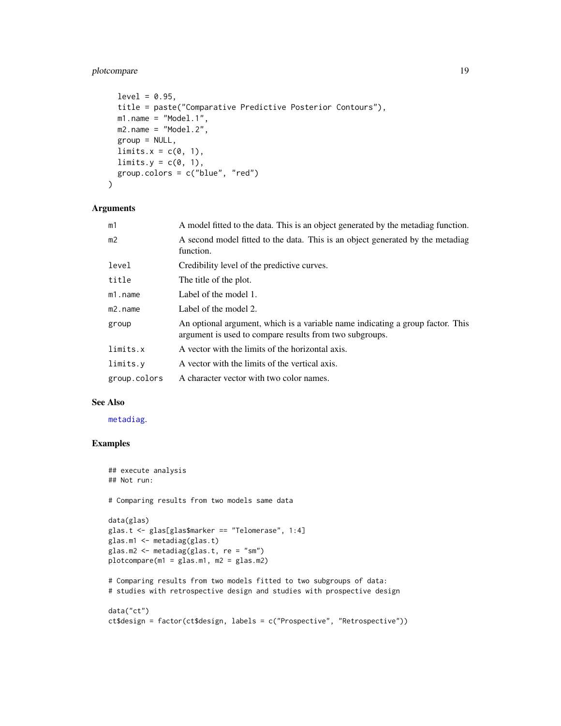# <span id="page-18-0"></span>plotcompare 19

```
level = 0.95,
title = paste("Comparative Predictive Posterior Contours"),
m1.name = "Model.1",m2.name = "Model.2",group = NULL,limits.x = c(0, 1),limits.y = c(0, 1),
group.colors = c("blue", "red")
```
#### Arguments

)

| m1             | A model fitted to the data. This is an object generated by the metadiag function.                                                         |
|----------------|-------------------------------------------------------------------------------------------------------------------------------------------|
| m <sub>2</sub> | A second model fitted to the data. This is an object generated by the metadiag<br>function.                                               |
| level          | Credibility level of the predictive curves.                                                                                               |
| title          | The title of the plot.                                                                                                                    |
| $m1$ . name    | Label of the model 1.                                                                                                                     |
| $m2$ . name    | Label of the model 2.                                                                                                                     |
| group          | An optional argument, which is a variable name indicating a group factor. This<br>argument is used to compare results from two subgroups. |
| limits.x       | A vector with the limits of the horizontal axis.                                                                                          |
| limits.y       | A vector with the limits of the vertical axis.                                                                                            |
| group.colors   | A character vector with two color names.                                                                                                  |

# See Also

[metadiag](#page-8-1).

# Examples

```
## execute analysis
## Not run:
# Comparing results from two models same data
data(glas)
glas.t <- glas[glas$marker == "Telomerase", 1:4]
glas.m1 <- metadiag(glas.t)
glas.m2 <- metadiag(glas.t, re = "sm")
plotcompare(m1 = glass.m1, m2 = glass.m2)# Comparing results from two models fitted to two subgroups of data:
# studies with retrospective design and studies with prospective design
data("ct")
ct$design = factor(ct$design, labels = c("Prospective", "Retrospective"))
```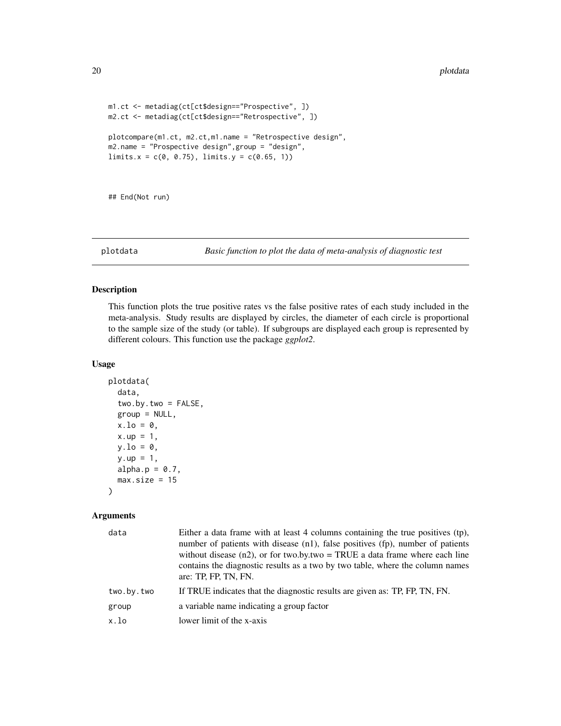```
m1.ct <- metadiag(ct[ct$design=="Prospective", ])
m2.ct <- metadiag(ct[ct$design=="Retrospective", ])
plotcompare(m1.ct, m2.ct,m1.name = "Retrospective design",
m2.name = "Prospective design",group = "design",
limits.x = c(0, 0.75), limits.y = c(0.65, 1))
```
## End(Not run)

plotdata *Basic function to plot the data of meta-analysis of diagnostic test*

#### Description

This function plots the true positive rates vs the false positive rates of each study included in the meta-analysis. Study results are displayed by circles, the diameter of each circle is proportional to the sample size of the study (or table). If subgroups are displayed each group is represented by different colours. This function use the package *ggplot2*.

#### Usage

```
plotdata(
 data,
  two.by.two = FALSE,
 group = NULL,
 x.lo = 0,
 x.up = 1,
 y.lo = 0,
 y.up = 1,alpha.p = 0.7,
 max.size = 15)
```
# Arguments

| data       | Either a data frame with at least 4 columns containing the true positives (tp),<br>number of patients with disease (n1), false positives (fp), number of patients<br>without disease $(n2)$ , or for two.by.two = TRUE a data frame where each line<br>contains the diagnostic results as a two by two table, where the column names<br>are: TP, FP, TN, FN. |
|------------|--------------------------------------------------------------------------------------------------------------------------------------------------------------------------------------------------------------------------------------------------------------------------------------------------------------------------------------------------------------|
| two.by.two | If TRUE indicates that the diagnostic results are given as: TP, FP, TN, FN.                                                                                                                                                                                                                                                                                  |
| group      | a variable name indicating a group factor                                                                                                                                                                                                                                                                                                                    |
| x.lo       | lower limit of the x-axis                                                                                                                                                                                                                                                                                                                                    |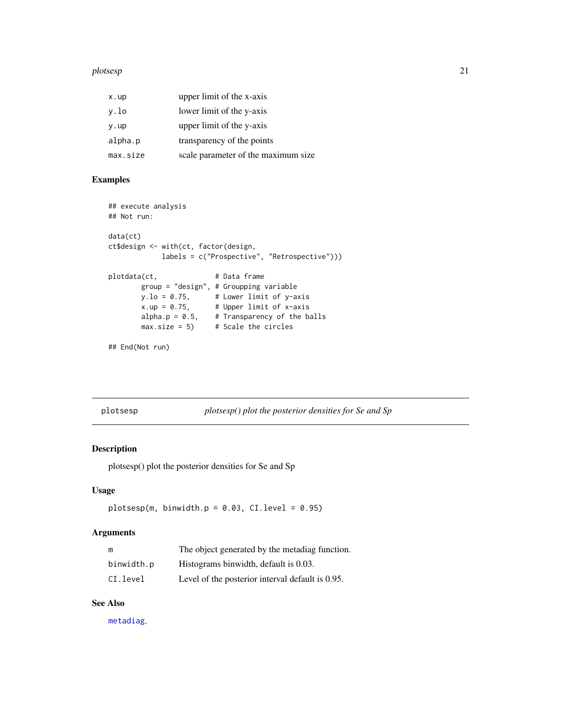#### <span id="page-20-0"></span>plotsesp 21

| x.up     | upper limit of the x-axis           |
|----------|-------------------------------------|
| y.lo     | lower limit of the y-axis           |
| y.up     | upper limit of the y-axis           |
| alpha.p  | transparency of the points          |
| max.size | scale parameter of the maximum size |

# Examples

```
## execute analysis
## Not run:
data(ct)
ct$design <- with(ct, factor(design,
           labels = c("Prospective", "Retrospective")))
plotdata(ct, # Data frame
       group = "design", # Groupping variable
       y.1o = 0.75, # Lower limit of y-axis
       x.up = 0.75, # Upper limit of x-axisalpha.p = 0.5, # Transparency of the balls
       max.size = 5 # Scale the circles
```

```
## End(Not run)
```
plotsesp *plotsesp() plot the posterior densities for Se and Sp*

# Description

plotsesp() plot the posterior densities for Se and Sp

# Usage

```
plotsesp(m, binwidth.p = 0.03, CI.level = 0.95)
```
#### Arguments

| m          | The object generated by the metadiag function.   |
|------------|--------------------------------------------------|
| binwidth.p | Histograms binwidth, default is 0.03.            |
| CI.level   | Level of the posterior interval default is 0.95. |

# See Also

[metadiag](#page-8-1).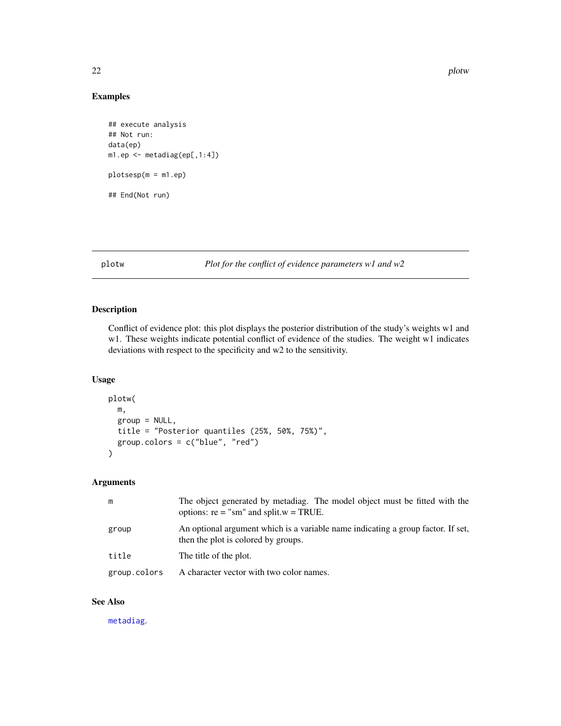#### 22 plotwing the contract of the contract of the contract of the contract of the contract of the contract of the contract of the contract of the contract of the contract of the contract of the contract of the contract of th

# Examples

```
## execute analysis
## Not run:
data(ep)
m1.ep <- metadiag(ep[,1:4])
plotsesp(m = m1.ep)
## End(Not run)
```
# plotw *Plot for the conflict of evidence parameters w1 and w2*

# Description

Conflict of evidence plot: this plot displays the posterior distribution of the study's weights w1 and w1. These weights indicate potential conflict of evidence of the studies. The weight w1 indicates deviations with respect to the specificity and w2 to the sensitivity.

# Usage

```
plotw(
  m,
  group = NULL,title = "Posterior quantiles (25%, 50%, 75%)",
  group.colors = c("blue", "red")
)
```
# Arguments

| m            | The object generated by metadiag. The model object must be fitted with the<br>options: $re = "sm"$ and split. $w = TRUE$ . |
|--------------|----------------------------------------------------------------------------------------------------------------------------|
| group        | An optional argument which is a variable name indicating a group factor. If set,<br>then the plot is colored by groups.    |
| title        | The title of the plot.                                                                                                     |
| group.colors | A character vector with two color names.                                                                                   |

# See Also

[metadiag](#page-8-1).

<span id="page-21-0"></span>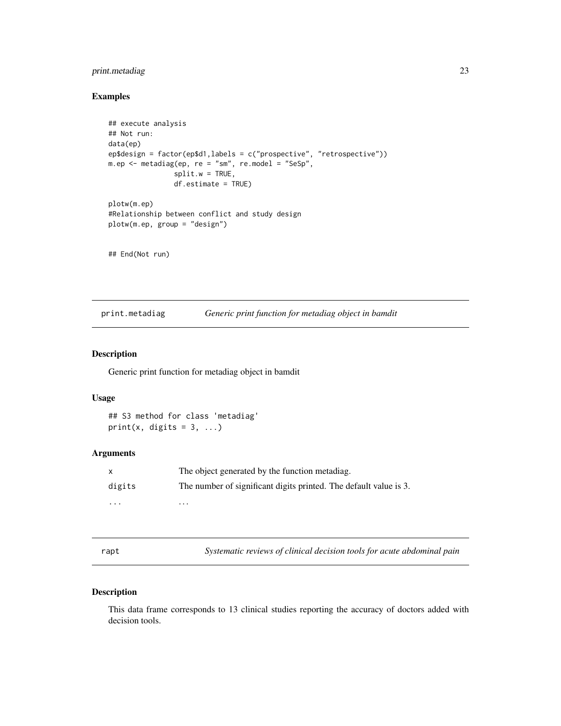# <span id="page-22-0"></span>print.metadiag 23

# Examples

```
## execute analysis
## Not run:
data(ep)
ep$design = factor(ep$d1,labels = c("prospective", "retrospective"))
m.ep <- metadiag(ep, re = "sm", re.model = "SeSp",
                split.w = TRUE,df.estimate = TRUE)
plotw(m.ep)
#Relationship between conflict and study design
plotw(m.ep, group = "design")
## End(Not run)
```
print.metadiag *Generic print function for metadiag object in bamdit*

# Description

Generic print function for metadiag object in bamdit

### Usage

## S3 method for class 'metadiag' print(x, digits =  $3, ...$ )

# Arguments

|          | The object generated by the function metadiag.                    |
|----------|-------------------------------------------------------------------|
| digits   | The number of significant digits printed. The default value is 3. |
| $\cdots$ | .                                                                 |

rapt *Systematic reviews of clinical decision tools for acute abdominal pain*

### Description

This data frame corresponds to 13 clinical studies reporting the accuracy of doctors added with decision tools.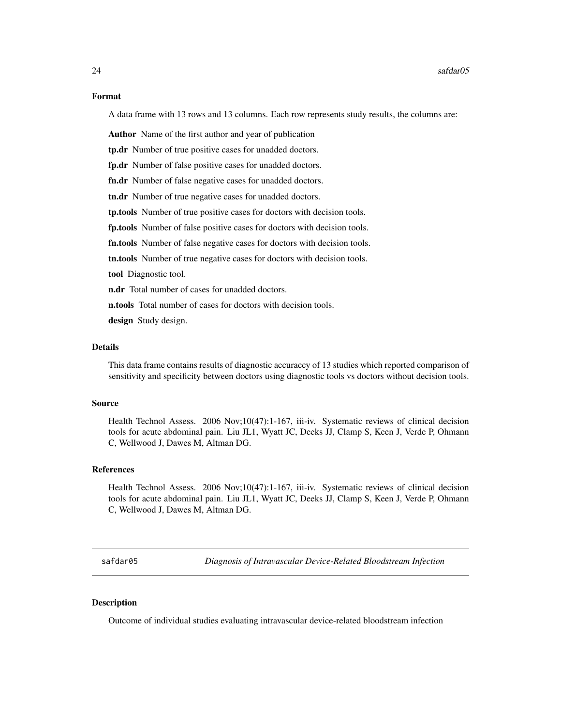<span id="page-23-0"></span>A data frame with 13 rows and 13 columns. Each row represents study results, the columns are:

Author Name of the first author and year of publication

tp.dr Number of true positive cases for unadded doctors.

fp.dr Number of false positive cases for unadded doctors.

fn.dr Number of false negative cases for unadded doctors.

tn.dr Number of true negative cases for unadded doctors.

tp.tools Number of true positive cases for doctors with decision tools.

fp.tools Number of false positive cases for doctors with decision tools.

fn.tools Number of false negative cases for doctors with decision tools.

tn.tools Number of true negative cases for doctors with decision tools.

tool Diagnostic tool.

**n.dr** Total number of cases for unadded doctors.

**n.tools** Total number of cases for doctors with decision tools.

design Study design.

# Details

This data frame contains results of diagnostic accuraccy of 13 studies which reported comparison of sensitivity and specificity between doctors using diagnostic tools vs doctors without decision tools.

#### Source

Health Technol Assess. 2006 Nov;10(47):1-167, iii-iv. Systematic reviews of clinical decision tools for acute abdominal pain. Liu JL1, Wyatt JC, Deeks JJ, Clamp S, Keen J, Verde P, Ohmann C, Wellwood J, Dawes M, Altman DG.

#### References

Health Technol Assess. 2006 Nov;10(47):1-167, iii-iv. Systematic reviews of clinical decision tools for acute abdominal pain. Liu JL1, Wyatt JC, Deeks JJ, Clamp S, Keen J, Verde P, Ohmann C, Wellwood J, Dawes M, Altman DG.

safdar05 *Diagnosis of Intravascular Device-Related Bloodstream Infection*

#### **Description**

Outcome of individual studies evaluating intravascular device-related bloodstream infection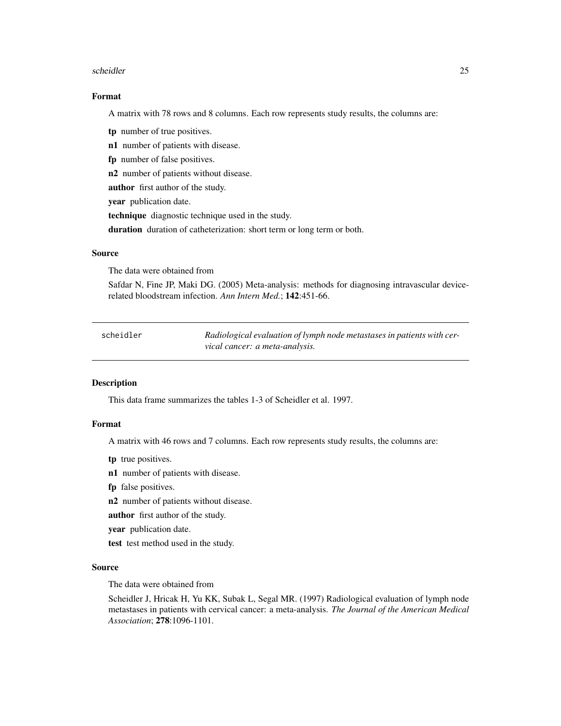#### <span id="page-24-0"></span>scheidler 25 auch dem 25 auch dem 25 auch dem 25 auch dem 25 auch dem 25 auch dem 25 auch dem 25 auch dem 25 au

#### Format

A matrix with 78 rows and 8 columns. Each row represents study results, the columns are:

tp number of true positives.

n1 number of patients with disease.

fp number of false positives.

n2 number of patients without disease.

author first author of the study.

year publication date.

technique diagnostic technique used in the study.

duration duration of catheterization: short term or long term or both.

#### Source

The data were obtained from

Safdar N, Fine JP, Maki DG. (2005) Meta-analysis: methods for diagnosing intravascular devicerelated bloodstream infection. *Ann Intern Med.*; 142:451-66.

| scheidler | Radiological evaluation of lymph node metastases in patients with cer- |
|-----------|------------------------------------------------------------------------|
|           | vical cancer: a meta-analysis.                                         |

# Description

This data frame summarizes the tables 1-3 of Scheidler et al. 1997.

# Format

A matrix with 46 rows and 7 columns. Each row represents study results, the columns are:

- tp true positives.
- n1 number of patients with disease.
- fp false positives.
- n2 number of patients without disease.
- author first author of the study.
- year publication date.
- test test method used in the study.

#### Source

The data were obtained from

Scheidler J, Hricak H, Yu KK, Subak L, Segal MR. (1997) Radiological evaluation of lymph node metastases in patients with cervical cancer: a meta-analysis. *The Journal of the American Medical Association*; 278:1096-1101.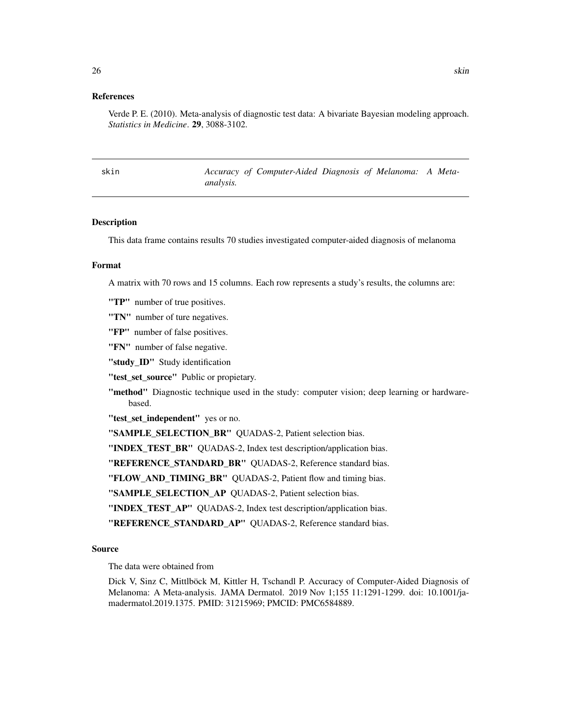#### <span id="page-25-0"></span>References

Verde P. E. (2010). Meta-analysis of diagnostic test data: A bivariate Bayesian modeling approach. *Statistics in Medicine*. 29, 3088-3102.

skin *Accuracy of Computer-Aided Diagnosis of Melanoma: A Metaanalysis.*

#### **Description**

This data frame contains results 70 studies investigated computer-aided diagnosis of melanoma

#### Format

A matrix with 70 rows and 15 columns. Each row represents a study's results, the columns are:

"TP" number of true positives.

"TN" number of ture negatives.

"FP" number of false positives.

"FN" number of false negative.

"study\_ID" Study identification

"test\_set\_source" Public or propietary.

"method" Diagnostic technique used in the study: computer vision; deep learning or hardwarebased.

"test\_set\_independent" yes or no.

"SAMPLE\_SELECTION\_BR" QUADAS-2, Patient selection bias.

"INDEX\_TEST\_BR" QUADAS-2, Index test description/application bias.

"REFERENCE\_STANDARD\_BR" QUADAS-2, Reference standard bias.

"FLOW\_AND\_TIMING\_BR" QUADAS-2, Patient flow and timing bias.

"SAMPLE\_SELECTION\_AP QUADAS-2, Patient selection bias.

"INDEX\_TEST\_AP" QUADAS-2, Index test description/application bias.

"REFERENCE\_STANDARD\_AP" QUADAS-2, Reference standard bias.

#### Source

The data were obtained from

Dick V, Sinz C, Mittlböck M, Kittler H, Tschandl P. Accuracy of Computer-Aided Diagnosis of Melanoma: A Meta-analysis. JAMA Dermatol. 2019 Nov 1;155 11:1291-1299. doi: 10.1001/jamadermatol.2019.1375. PMID: 31215969; PMCID: PMC6584889.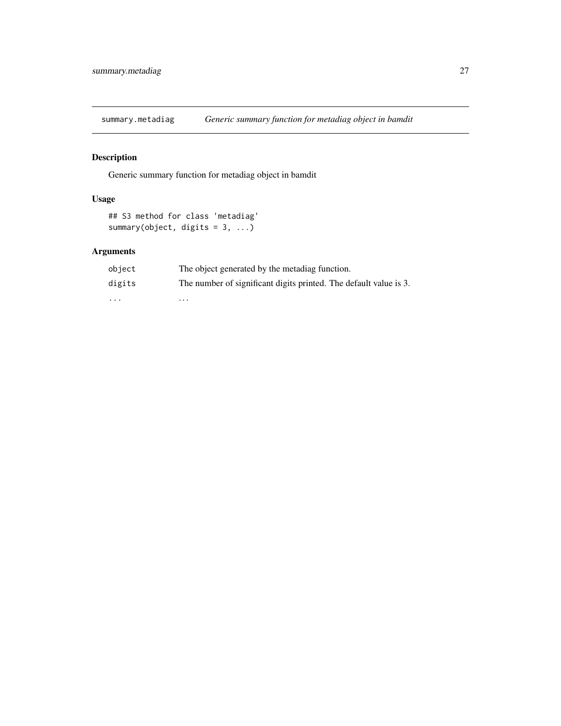<span id="page-26-0"></span>summary.metadiag *Generic summary function for metadiag object in bamdit*

# Description

Generic summary function for metadiag object in bamdit

# Usage

```
## S3 method for class 'metadiag'
summary(object, digits = 3, ...)
```
# Arguments

| object                  | The object generated by the metadiag function.                    |
|-------------------------|-------------------------------------------------------------------|
| digits                  | The number of significant digits printed. The default value is 3. |
| $\cdot$ $\cdot$ $\cdot$ | .                                                                 |